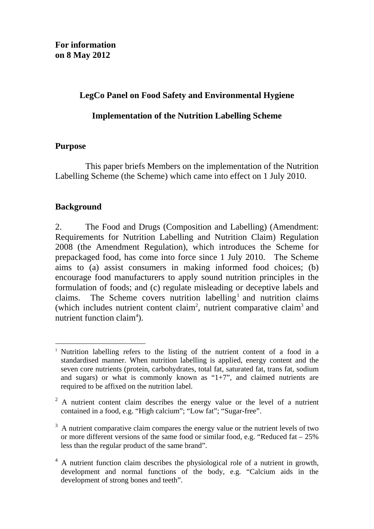## **LegCo Panel on Food Safety and Environmental Hygiene**

## **Implementation of the Nutrition Labelling Scheme**

## **Purpose**

 This paper briefs Members on the implementation of the Nutrition Labelling Scheme (the Scheme) which came into effect on 1 July 2010.

# **Background**

2. The Food and Drugs (Composition and Labelling) (Amendment: Requirements for Nutrition Labelling and Nutrition Claim) Regulation 2008 (the Amendment Regulation), which introduces the Scheme for prepackaged food, has come into force since 1 July 2010. The Scheme aims to (a) assist consumers in making informed food choices; (b) encourage food manufacturers to apply sound nutrition principles in the formulation of foods; and (c) regulate misleading or deceptive labels and claims. The Scheme covers nutrition labelling<sup>1</sup> and nutrition claims (which includes nutrient content claim<sup>2</sup>, nutrient comparative claim<sup>3</sup> and nutrient function claim<sup>4</sup>).

 $\overline{a}$ <sup>1</sup> Nutrition labelling refers to the listing of the nutrient content of a food in a standardised manner. When nutrition labelling is applied, energy content and the seven core nutrients (protein, carbohydrates, total fat, saturated fat, trans fat, sodium and sugars) or what is commonly known as " $1+7$ ", and claimed nutrients are required to be affixed on the nutrition label.

 $2^2$  A nutrient content claim describes the energy value or the level of a nutrient contained in a food, e.g. "High calcium"; "Low fat"; "Sugar-free".

 $3\,$  A nutrient comparative claim compares the energy value or the nutrient levels of two or more different versions of the same food or similar food, e.g. "Reduced fat  $-25\%$ less than the regular product of the same brand".

<sup>&</sup>lt;sup>4</sup> A nutrient function claim describes the physiological role of a nutrient in growth, development and normal functions of the body, e.g. "Calcium aids in the development of strong bones and teeth".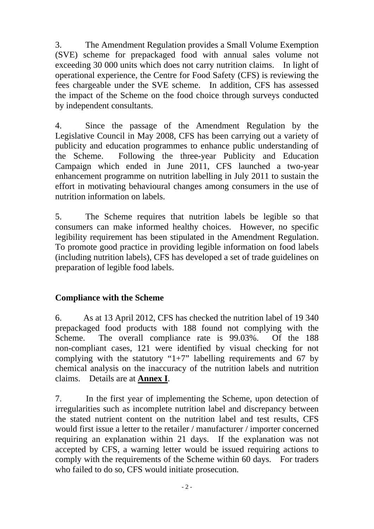3. The Amendment Regulation provides a Small Volume Exemption (SVE) scheme for prepackaged food with annual sales volume not exceeding 30 000 units which does not carry nutrition claims. In light of operational experience, the Centre for Food Safety (CFS) is reviewing the fees chargeable under the SVE scheme. In addition, CFS has assessed the impact of the Scheme on the food choice through surveys conducted by independent consultants.

4. Since the passage of the Amendment Regulation by the Legislative Council in May 2008, CFS has been carrying out a variety of publicity and education programmes to enhance public understanding of the Scheme. Following the three-year Publicity and Education Campaign which ended in June 2011, CFS launched a two-year enhancement programme on nutrition labelling in July 2011 to sustain the effort in motivating behavioural changes among consumers in the use of nutrition information on labels.

5. The Scheme requires that nutrition labels be legible so that consumers can make informed healthy choices. However, no specific legibility requirement has been stipulated in the Amendment Regulation. To promote good practice in providing legible information on food labels (including nutrition labels), CFS has developed a set of trade guidelines on preparation of legible food labels.

# **Compliance with the Scheme**

6. As at 13 April 2012, CFS has checked the nutrition label of 19 340 prepackaged food products with 188 found not complying with the Scheme. The overall compliance rate is 99.03%. Of the 188 non-compliant cases, 121 were identified by visual checking for not complying with the statutory " $1+7$ " labelling requirements and 67 by chemical analysis on the inaccuracy of the nutrition labels and nutrition claims. Details are at **Annex I**.

7. In the first year of implementing the Scheme, upon detection of irregularities such as incomplete nutrition label and discrepancy between the stated nutrient content on the nutrition label and test results, CFS would first issue a letter to the retailer / manufacturer / importer concerned requiring an explanation within 21 days. If the explanation was not accepted by CFS, a warning letter would be issued requiring actions to comply with the requirements of the Scheme within 60 days. For traders who failed to do so, CFS would initiate prosecution.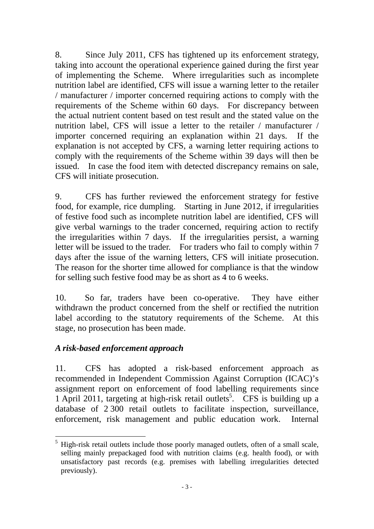8. Since July 2011, CFS has tightened up its enforcement strategy, taking into account the operational experience gained during the first year of implementing the Scheme. Where irregularities such as incomplete nutrition label are identified, CFS will issue a warning letter to the retailer / manufacturer / importer concerned requiring actions to comply with the requirements of the Scheme within 60 days. For discrepancy between the actual nutrient content based on test result and the stated value on the nutrition label, CFS will issue a letter to the retailer / manufacturer / importer concerned requiring an explanation within 21 days. If the explanation is not accepted by CFS, a warning letter requiring actions to comply with the requirements of the Scheme within 39 days will then be issued. In case the food item with detected discrepancy remains on sale, CFS will initiate prosecution.

9. CFS has further reviewed the enforcement strategy for festive food, for example, rice dumpling. Starting in June 2012, if irregularities of festive food such as incomplete nutrition label are identified, CFS will give verbal warnings to the trader concerned, requiring action to rectify the irregularities within 7 days. If the irregularities persist, a warning letter will be issued to the trader. For traders who fail to comply within 7 days after the issue of the warning letters, CFS will initiate prosecution. The reason for the shorter time allowed for compliance is that the window for selling such festive food may be as short as 4 to 6 weeks.

10. So far, traders have been co-operative. They have either withdrawn the product concerned from the shelf or rectified the nutrition label according to the statutory requirements of the Scheme. At this stage, no prosecution has been made.

# *A risk-based enforcement approach*

 $\overline{a}$ 

11. CFS has adopted a risk-based enforcement approach as recommended in Independent Commission Against Corruption (ICAC)'s assignment report on enforcement of food labelling requirements since 1 April 2011, targeting at high-risk retail outlets<sup>5</sup>. CFS is building up a database of 2 300 retail outlets to facilitate inspection, surveillance, enforcement, risk management and public education work. Internal

 $<sup>5</sup>$  High-risk retail outlets include those poorly managed outlets, often of a small scale,</sup> selling mainly prepackaged food with nutrition claims (e.g. health food), or with unsatisfactory past records (e.g. premises with labelling irregularities detected previously).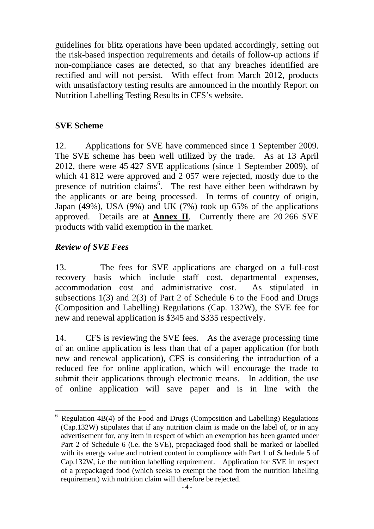guidelines for blitz operations have been updated accordingly, setting out the risk-based inspection requirements and details of follow-up actions if non-compliance cases are detected, so that any breaches identified are rectified and will not persist. With effect from March 2012, products with unsatisfactory testing results are announced in the monthly Report on Nutrition Labelling Testing Results in CFS's website.

## **SVE Scheme**

12. Applications for SVE have commenced since 1 September 2009. The SVE scheme has been well utilized by the trade. As at 13 April 2012, there were 45 427 SVE applications (since 1 September 2009), of which 41 812 were approved and 2 057 were rejected, mostly due to the presence of nutrition claims<sup>6</sup>. The rest have either been withdrawn by the applicants or are being processed. In terms of country of origin, Japan (49%), USA (9%) and UK (7%) took up 65% of the applications approved. Details are at **Annex II**. Currently there are 20 266 SVE products with valid exemption in the market.

## *Review of SVE Fees*

 $\overline{a}$ 

13. The fees for SVE applications are charged on a full-cost recovery basis which include staff cost, departmental expenses, accommodation cost and administrative cost. As stipulated in subsections 1(3) and 2(3) of Part 2 of Schedule 6 to the Food and Drugs (Composition and Labelling) Regulations (Cap. 132W), the SVE fee for new and renewal application is \$345 and \$335 respectively.

14. CFS is reviewing the SVE fees. As the average processing time of an online application is less than that of a paper application (for both new and renewal application), CFS is considering the introduction of a reduced fee for online application, which will encourage the trade to submit their applications through electronic means. In addition, the use of online application will save paper and is in line with the

<sup>6</sup> Regulation 4B(4) of the Food and Drugs (Composition and Labelling) Regulations (Cap.132W) stipulates that if any nutrition claim is made on the label of, or in any advertisement for, any item in respect of which an exemption has been granted under Part 2 of Schedule 6 (i.e. the SVE), prepackaged food shall be marked or labelled with its energy value and nutrient content in compliance with Part 1 of Schedule 5 of Cap.132W, i.e the nutrition labelling requirement. Application for SVE in respect of a prepackaged food (which seeks to exempt the food from the nutrition labelling requirement) with nutrition claim will therefore be rejected.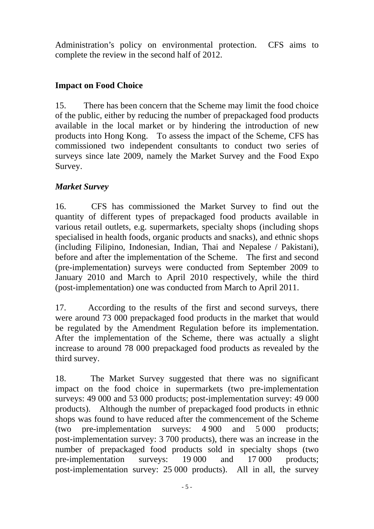Administration's policy on environmental protection. CFS aims to complete the review in the second half of 2012.

# **Impact on Food Choice**

15. There has been concern that the Scheme may limit the food choice of the public, either by reducing the number of prepackaged food products available in the local market or by hindering the introduction of new products into Hong Kong. To assess the impact of the Scheme, CFS has commissioned two independent consultants to conduct two series of surveys since late 2009, namely the Market Survey and the Food Expo Survey.

# *Market Survey*

16. CFS has commissioned the Market Survey to find out the quantity of different types of prepackaged food products available in various retail outlets, e.g. supermarkets, specialty shops (including shops specialised in health foods, organic products and snacks), and ethnic shops (including Filipino, Indonesian, Indian, Thai and Nepalese / Pakistani), before and after the implementation of the Scheme. The first and second (pre-implementation) surveys were conducted from September 2009 to January 2010 and March to April 2010 respectively, while the third (post-implementation) one was conducted from March to April 2011.

17. According to the results of the first and second surveys, there were around 73 000 prepackaged food products in the market that would be regulated by the Amendment Regulation before its implementation. After the implementation of the Scheme, there was actually a slight increase to around 78 000 prepackaged food products as revealed by the third survey.

18. The Market Survey suggested that there was no significant impact on the food choice in supermarkets (two pre-implementation surveys: 49 000 and 53 000 products; post-implementation survey: 49 000 products). Although the number of prepackaged food products in ethnic shops was found to have reduced after the commencement of the Scheme (two pre-implementation surveys: 4 900 and 5 000 products; post-implementation survey: 3 700 products), there was an increase in the number of prepackaged food products sold in specialty shops (two pre-implementation surveys: 19 000 and 17 000 products; post-implementation survey: 25 000 products). All in all, the survey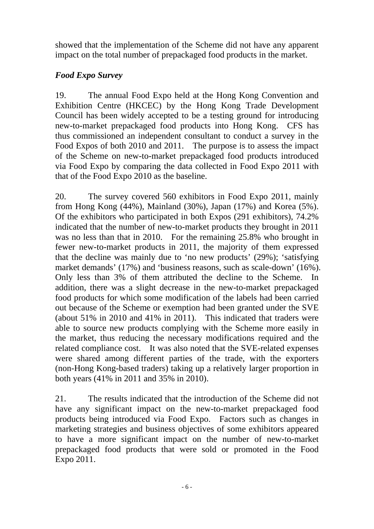showed that the implementation of the Scheme did not have any apparent impact on the total number of prepackaged food products in the market.

# *Food Expo Survey*

19. The annual Food Expo held at the Hong Kong Convention and Exhibition Centre (HKCEC) by the Hong Kong Trade Development Council has been widely accepted to be a testing ground for introducing new-to-market prepackaged food products into Hong Kong. CFS has thus commissioned an independent consultant to conduct a survey in the Food Expos of both 2010 and 2011. The purpose is to assess the impact of the Scheme on new-to-market prepackaged food products introduced via Food Expo by comparing the data collected in Food Expo 2011 with that of the Food Expo 2010 as the baseline.

20. The survey covered 560 exhibitors in Food Expo 2011, mainly from Hong Kong (44%), Mainland (30%), Japan (17%) and Korea (5%). Of the exhibitors who participated in both Expos (291 exhibitors), 74.2% indicated that the number of new-to-market products they brought in 2011 was no less than that in 2010. For the remaining 25.8% who brought in fewer new-to-market products in 2011, the majority of them expressed that the decline was mainly due to 'no new products' (29%); 'satisfying market demands' (17%) and 'business reasons, such as scale-down' (16%). Only less than 3% of them attributed the decline to the Scheme. In addition, there was a slight decrease in the new-to-market prepackaged food products for which some modification of the labels had been carried out because of the Scheme or exemption had been granted under the SVE (about 51% in 2010 and 41% in 2011). This indicated that traders were able to source new products complying with the Scheme more easily in the market, thus reducing the necessary modifications required and the related compliance cost. It was also noted that the SVE-related expenses were shared among different parties of the trade, with the exporters (non-Hong Kong-based traders) taking up a relatively larger proportion in both years (41% in 2011 and 35% in 2010).

21. The results indicated that the introduction of the Scheme did not have any significant impact on the new-to-market prepackaged food products being introduced via Food Expo. Factors such as changes in marketing strategies and business objectives of some exhibitors appeared to have a more significant impact on the number of new-to-market prepackaged food products that were sold or promoted in the Food Expo 2011.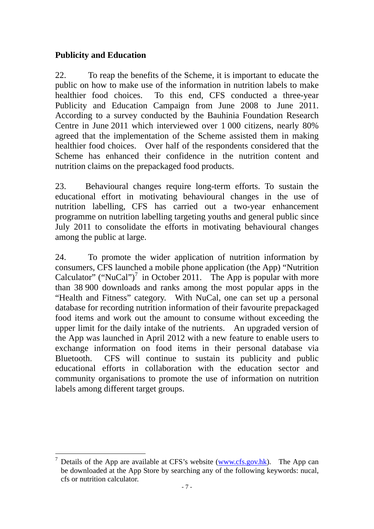# **Publicity and Education**

22. To reap the benefits of the Scheme, it is important to educate the public on how to make use of the information in nutrition labels to make healthier food choices. To this end, CFS conducted a three-year Publicity and Education Campaign from June 2008 to June 2011. According to a survey conducted by the Bauhinia Foundation Research Centre in June 2011 which interviewed over 1 000 citizens, nearly 80% agreed that the implementation of the Scheme assisted them in making healthier food choices. Over half of the respondents considered that the Scheme has enhanced their confidence in the nutrition content and nutrition claims on the prepackaged food products.

23. Behavioural changes require long-term efforts. To sustain the educational effort in motivating behavioural changes in the use of nutrition labelling, CFS has carried out a two-year enhancement programme on nutrition labelling targeting youths and general public since July 2011 to consolidate the efforts in motivating behavioural changes among the public at large.

24. To promote the wider application of nutrition information by consumers, CFS launched a mobile phone application (the App) "Nutrition Calculator" ("NuCal")<sup>7</sup> in October 2011. The App is popular with more than 38 900 downloads and ranks among the most popular apps in the "Health and Fitness" category. With NuCal, one can set up a personal database for recording nutrition information of their favourite prepackaged food items and work out the amount to consume without exceeding the upper limit for the daily intake of the nutrients. An upgraded version of the App was launched in April 2012 with a new feature to enable users to exchange information on food items in their personal database via Bluetooth. CFS will continue to sustain its publicity and public educational efforts in collaboration with the education sector and community organisations to promote the use of information on nutrition labels among different target groups.

 $\overline{a}$ 7 Details of the App are available at CFS's website (www.cfs.gov.hk). The App can be downloaded at the App Store by searching any of the following keywords: nucal, cfs or nutrition calculator.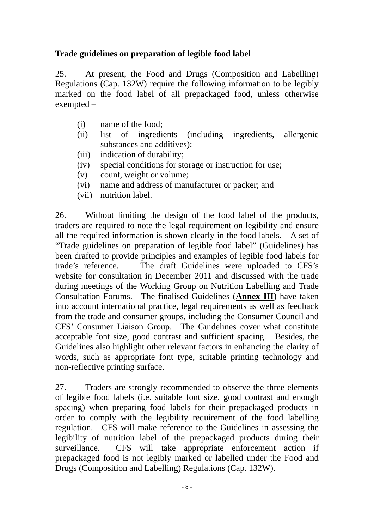# **Trade guidelines on preparation of legible food label**

25. At present, the Food and Drugs (Composition and Labelling) Regulations (Cap. 132W) require the following information to be legibly marked on the food label of all prepackaged food, unless otherwise exempted –

- (i) name of the food;
- (ii) list of ingredients (including ingredients, allergenic substances and additives);
- (iii) indication of durability;
- (iv) special conditions for storage or instruction for use;
- (v) count, weight or volume;
- (vi) name and address of manufacturer or packer; and
- (vii) nutrition label.

26. Without limiting the design of the food label of the products, traders are required to note the legal requirement on legibility and ensure all the required information is shown clearly in the food labels. A set of "Trade guidelines on preparation of legible food label" (Guidelines) has been drafted to provide principles and examples of legible food labels for trade's reference. The draft Guidelines were uploaded to CFS's website for consultation in December 2011 and discussed with the trade during meetings of the Working Group on Nutrition Labelling and Trade Consultation Forums. The finalised Guidelines (**Annex III**) have taken into account international practice, legal requirements as well as feedback from the trade and consumer groups, including the Consumer Council and CFS' Consumer Liaison Group. The Guidelines cover what constitute acceptable font size, good contrast and sufficient spacing. Besides, the Guidelines also highlight other relevant factors in enhancing the clarity of words, such as appropriate font type, suitable printing technology and non-reflective printing surface.

27. Traders are strongly recommended to observe the three elements of legible food labels (i.e. suitable font size, good contrast and enough spacing) when preparing food labels for their prepackaged products in order to comply with the legibility requirement of the food labelling regulation. CFS will make reference to the Guidelines in assessing the legibility of nutrition label of the prepackaged products during their surveillance. CFS will take appropriate enforcement action if prepackaged food is not legibly marked or labelled under the Food and Drugs (Composition and Labelling) Regulations (Cap. 132W).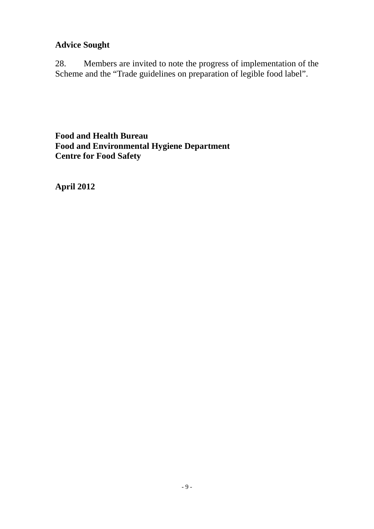# **Advice Sought**

28. Members are invited to note the progress of implementation of the Scheme and the "Trade guidelines on preparation of legible food label".

**Food and Health Bureau Food and Environmental Hygiene Department Centre for Food Safety** 

**April 2012**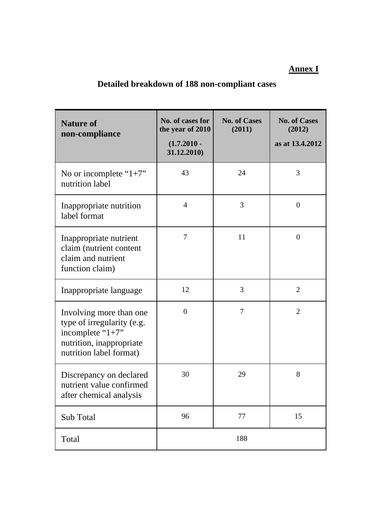# **Annex I**

# **Detailed breakdown of 188 non-compliant cases**

| <b>Nature of</b><br>non-compliance                                                                                                   | No. of cases for<br>the year of 2010<br>$(1.7.2010 -$<br>31.12.2010) | <b>No. of Cases</b><br>(2011) | <b>No. of Cases</b><br>(2012)<br>as at 13.4.2012 |
|--------------------------------------------------------------------------------------------------------------------------------------|----------------------------------------------------------------------|-------------------------------|--------------------------------------------------|
| No or incomplete " $1+7$ "<br>nutrition label                                                                                        | 43                                                                   | 24                            | 3                                                |
| Inappropriate nutrition<br>label format                                                                                              | 4                                                                    | 3                             | $\boldsymbol{0}$                                 |
| Inappropriate nutrient<br>claim (nutrient content<br>claim and nutrient<br>function claim)                                           | 7                                                                    | 11                            | $\overline{0}$                                   |
| Inappropriate language                                                                                                               | 12                                                                   | 3                             | $\overline{2}$                                   |
| Involving more than one<br>type of irregularity (e.g.<br>incomplete " $1+7$ "<br>nutrition, inappropriate<br>nutrition label format) | $\overline{0}$                                                       | 7                             | $\overline{2}$                                   |
| Discrepancy on declared<br>nutrient value confirmed<br>after chemical analysis                                                       | 30                                                                   | 29                            | 8                                                |
| Sub Total                                                                                                                            | 96                                                                   | 77                            | 15                                               |
| Total                                                                                                                                |                                                                      | 188                           |                                                  |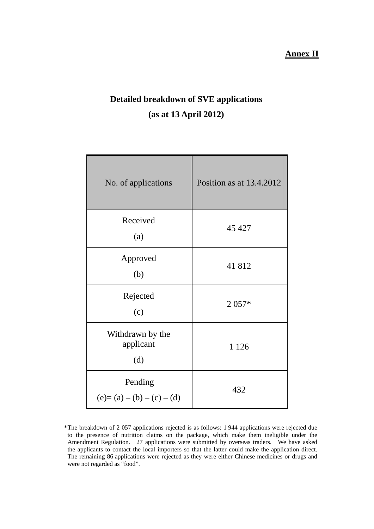## **Annex II**

# **Detailed breakdown of SVE applications (as at 13 April 2012)**

| No. of applications                  | Position as at $13.4.2012$ |  |
|--------------------------------------|----------------------------|--|
| Received<br>(a)                      | 45 427                     |  |
| Approved<br>(b)                      | 41812                      |  |
| Rejected<br>(c)                      | $2057*$                    |  |
| Withdrawn by the<br>applicant<br>(d) | 1 1 2 6                    |  |
| Pending<br>$(e)=(a)-(b)-(c)-(d)$     | 432                        |  |

<sup>\*</sup> The breakdown of 2 057 applications rejected is as follows: 1 944 applications were rejected due to the presence of nutrition claims on the package, which make them ineligible under the Amendment Regulation. 27 applications were submitted by overseas traders. We have asked the applicants to contact the local importers so that the latter could make the application direct. The remaining 86 applications were rejected as they were either Chinese medicines or drugs and were not regarded as "food".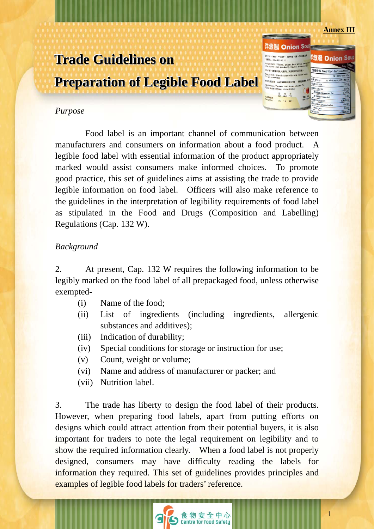#### **Annex III**

<sup>该</sup>想】Onion So叫

<sup>样葱</sup>湯 Onion Soਘ -<br>キセ・キ<sub>バ2キ</sub> - 東米国・東・大道電話

.<br>Inin (milk sama bun) ■清水拌入漏内, 顶流镜方 **ARCHIMEDIROTT** 

 $\frac{\pi}{100}$   $\frac{\pi}{100}$   $\frac{\pi}{100}$ 

15 12 201

Rimman .

# **Trade Guidelines on Preparation of Legible Food Label**

## *Purpose*

 Food label is an important channel of communication between manufacturers and consumers on information about a food product. A legible food label with essential information of the product appropriately marked would assist consumers make informed choices. To promote good practice, this set of guidelines aims at assisting the trade to provide legible information on food label. Officers will also make reference to the guidelines in the interpretation of legibility requirements of food label as stipulated in the Food and Drugs (Composition and Labelling) Regulations (Cap. 132 W).

## *Background*

2. At present, Cap. 132 W requires the following information to be legibly marked on the food label of all prepackaged food, unless otherwise exempted-

- (i) Name of the food;
- (ii) List of ingredients (including ingredients, allergenic substances and additives);
- (iii) Indication of durability;
- (iv) Special conditions for storage or instruction for use;
- (v) Count, weight or volume;
- (vi) Name and address of manufacturer or packer; and
- (vii) Nutrition label.

3. The trade has liberty to design the food label of their products. However, when preparing food labels, apart from putting efforts on designs which could attract attention from their potential buyers, it is also important for traders to note the legal requirement on legibility and to show the required information clearly. When a food label is not properly designed, consumers may have difficulty reading the labels for information they required. This set of guidelines provides principles and examples of legible food labels for traders' reference.

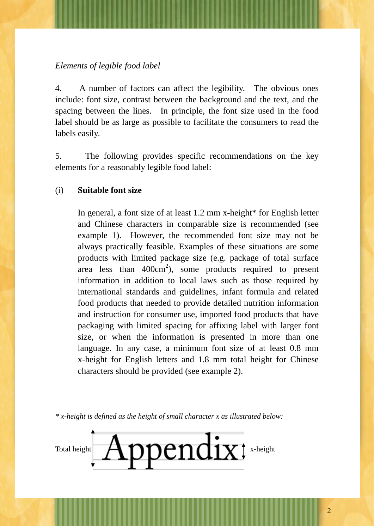## *Elements of legible food label*

4. A number of factors can affect the legibility. The obvious ones include: font size, contrast between the background and the text, and the spacing between the lines. In principle, the font size used in the food label should be as large as possible to facilitate the consumers to read the labels easily.

5. The following provides specific recommendations on the key elements for a reasonably legible food label:

## (i) **Suitable font size**

In general, a font size of at least 1.2 mm x-height\* for English letter and Chinese characters in comparable size is recommended (see example 1). However, the recommended font size may not be always practically feasible. Examples of these situations are some products with limited package size (e.g. package of total surface area less than  $400 \text{cm}^2$ ), some products required to present information in addition to local laws such as those required by international standards and guidelines, infant formula and related food products that needed to provide detailed nutrition information and instruction for consumer use, imported food products that have packaging with limited spacing for affixing label with larger font size, or when the information is presented in more than one language. In any case, a minimum font size of at least 0.8 mm x-height for English letters and 1.8 mm total height for Chinese characters should be provided (see example 2).

*\* x-height is defined as the height of small character x as illustrated below:* 

Total height **Appendix**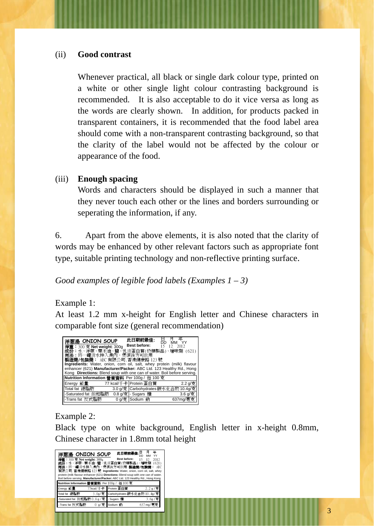## (ii) **Good contrast**

Whenever practical, all black or single dark colour type, printed on a white or other single light colour contrasting background is recommended. It is also acceptable to do it vice versa as long as the words are clearly shown. In addition, for products packed in transparent containers, it is recommended that the food label area should come with a non-transparent contrasting background, so that the clarity of the label would not be affected by the colour or appearance of the food.

## (iii) **Enough spacing**

Words and characters should be displayed in such a manner that they never touch each other or the lines and borders surrounding or seperating the information, if any.

6. Apart from the above elements, it is also noted that the clarity of words may be enhanced by other relevant factors such as appropriate font type, suitable printing technology and non-reflective printing surface.

## *Good examples of legible food labels (Examples 1 – 3)*

## Example 1:

At least 1.2 mm x-height for English letter and Chinese characters in comparable font size (general recommendation)



## Example 2:

Black type on white background, English letter in x-height 0.8mm, Chinese character in 1.8mm total height

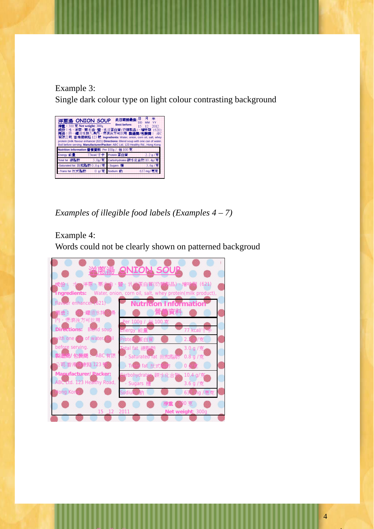Example 3:

Single dark colour type on light colour contrasting background



*Examples of illegible food labels (Examples 4 – 7)* 

# Example 4:

Words could not be clearly shown on patterned backgroud



日 月 年

4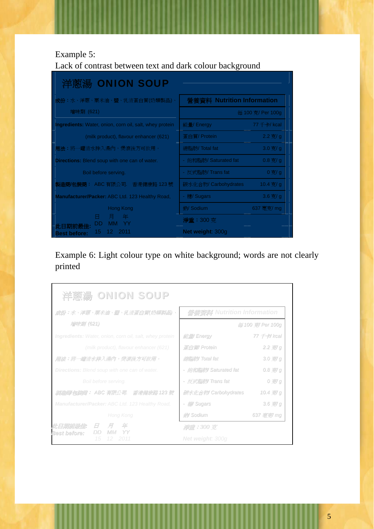## Example 5:

Lack of contrast between text and dark colour background



# Example 6: Light colour type on white background; words are not clearly printed

| 洋蔥湯 ONION SOUP                                                 |                               |                     |
|----------------------------------------------------------------|-------------------------------|---------------------|
| 成份:水、洋蔥、栗米油、鹽、乳清蛋白質(奶類製品)、                                     | 營養資料 Nutrition Information    |                     |
| 增味劑 (621)                                                      |                               | 每 100 克/ Per 100g   |
| <b>Ingredients:</b> Water, onion, corn oil, salt, whey protein | 能量/ Energy                    | 77 <i>千卡</i> / kcal |
| (milk product), flavour enhancer (621)                         | 蛋白質/ Protein                  | $2.2$ 克/ g          |
| 用法:將一罐清水拌入湯內,煲滾後方可飲用。                                          | 總脂肪/Total fat                 | $3.0$ 克 $/g$        |
| <b>Directions:</b> Blend soup with one can of water.           | - <i>餉和脂肪</i> / Saturated fat | 0.87/g              |
| Boil before serving.                                           | - 反式脂肪/Trans fat              | 0克/g                |
| 製造商/包装商: ABC 有限公司. 香港健康路 123 號                                 | 碳水化合物/ Carbohydrates          | 10.4 克/ g           |
| Manufacturer/Packer: ABC Ltd. 123 Healthy Road,                | - <i>癇</i> Sugars             | $3.6$ 克/ g          |
| Hong Kong                                                      | <i>鈉</i> / Sodium             | 637 毫克/ mg          |
| <i>此日期前最佳</i> :<br>$H$ $H$<br>年                                | 淨重: 300 克                     |                     |
| <b>Best before:</b><br>2011                                    | <b>Net weight: 300g</b>       |                     |